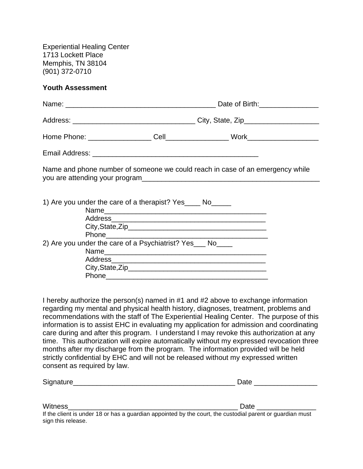Experiential Healing Center 1713 Lockett Place Memphis, TN 38104 (901) 372-0710

#### **Youth Assessment**

| Name and phone number of someone we could reach in case of an emergency while |  |
|-------------------------------------------------------------------------------|--|
|                                                                               |  |
| 1) Are you under the care of a therapist? Yes____ No_____                     |  |
|                                                                               |  |
|                                                                               |  |
|                                                                               |  |
| 2) Are you under the care of a Psychiatrist? Yes ___ No____                   |  |
|                                                                               |  |
|                                                                               |  |
|                                                                               |  |
|                                                                               |  |

I hereby authorize the person(s) named in #1 and #2 above to exchange information regarding my mental and physical health history, diagnoses, treatment, problems and recommendations with the staff of The Experiential Healing Center. The purpose of this information is to assist EHC in evaluating my application for admission and coordinating care during and after this program. I understand I may revoke this authorization at any time. This authorization will expire automatically without my expressed revocation three months after my discharge from the program. The information provided will be held strictly confidential by EHC and will not be released without my expressed written consent as required by law.

| Signature<br>- - | -- |
|------------------|----|
|                  |    |

| Witness                                                                                                   | Date |
|-----------------------------------------------------------------------------------------------------------|------|
| If the client is under 18 or has a guardian appointed by the court, the custodial parent or guardian must |      |
| sign this release.                                                                                        |      |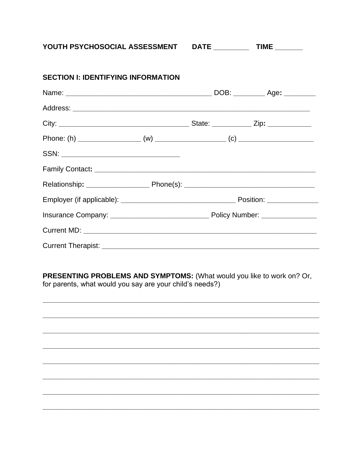YOUTH PSYCHOSOCIAL ASSESSMENT

| <b>SECTION I: IDENTIFYING INFORMATION</b> |  |  |
|-------------------------------------------|--|--|
|                                           |  |  |
|                                           |  |  |
|                                           |  |  |
|                                           |  |  |
|                                           |  |  |
|                                           |  |  |
|                                           |  |  |
|                                           |  |  |
|                                           |  |  |
|                                           |  |  |
|                                           |  |  |

PRESENTING PROBLEMS AND SYMPTOMS: (What would you like to work on? Or, for parents, what would you say are your child's needs?)

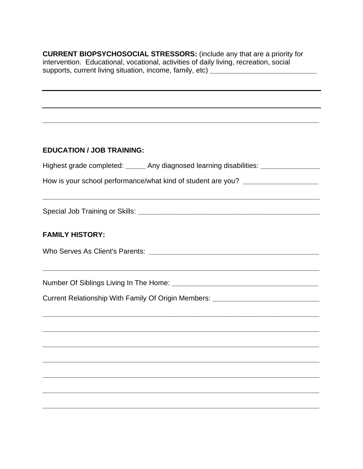**CURRENT BIOPSYCHOSOCIAL STRESSORS:** (include any that are a priority for intervention. Educational, vocational, activities of daily living, recreation, social supports, current living situation, income, family, etc) \_\_\_\_\_\_\_\_\_\_\_\_\_\_\_\_\_\_\_\_\_\_\_\_

### **EDUCATION / JOB TRAINING:**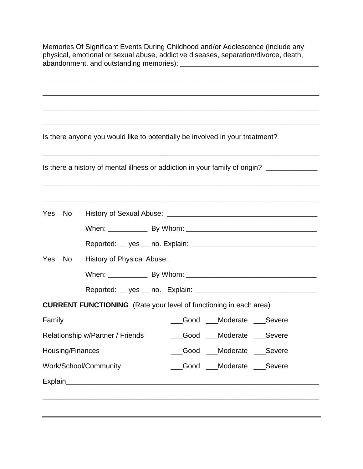Memories Of Significant Events During Childhood and/or Adolescence (include any physical, emotional or sexual abuse, addictive diseases, separation/divorce, death, abandonment, and outstanding memories): **\_\_\_\_\_\_\_\_\_\_\_\_\_\_\_\_\_\_\_\_\_\_\_\_\_\_\_\_\_\_\_\_\_\_\_\_\_\_\_\_\_\_\_\_\_\_\_\_\_\_\_\_\_\_\_\_\_\_\_\_\_\_\_\_\_\_\_\_\_\_ \_\_\_\_\_\_\_\_\_\_\_\_\_\_\_\_\_\_\_\_\_\_\_\_\_\_\_\_\_\_\_\_\_\_\_\_\_\_\_\_\_\_\_\_\_\_\_\_\_\_\_\_\_\_\_\_\_\_\_\_\_\_\_\_\_\_\_\_\_\_ \_\_\_\_\_\_\_\_\_\_\_\_\_\_\_\_\_\_\_\_\_\_\_\_\_\_\_\_\_\_\_\_\_\_\_\_\_\_\_\_\_\_\_\_\_\_\_\_\_\_\_\_\_\_\_\_\_\_\_\_\_\_\_\_\_\_\_\_\_\_ \_\_\_\_\_\_\_\_\_\_\_\_\_\_\_\_\_\_\_\_\_\_\_\_\_\_\_\_\_\_\_\_\_\_\_\_\_\_\_\_\_\_\_\_\_\_\_\_\_\_\_\_\_\_\_\_\_\_\_\_\_\_\_\_\_\_\_\_\_\_** Is there anyone you would like to potentially be involved in your treatment? **\_\_\_\_\_\_\_\_\_\_\_\_\_\_\_\_\_\_\_\_\_\_\_\_\_\_\_\_\_\_\_\_\_\_\_\_\_\_\_\_\_\_\_\_\_\_\_\_\_\_\_\_\_\_\_\_\_\_\_\_\_\_\_\_\_\_\_\_\_\_** Is there a history of mental illness or addiction in your family of origin? **\_\_\_\_\_\_\_\_\_\_\_\_\_ \_\_\_\_\_\_\_\_\_\_\_\_\_\_\_\_\_\_\_\_\_\_\_\_\_\_\_\_\_\_\_\_\_\_\_\_\_\_\_\_\_\_\_\_\_\_\_\_\_\_\_\_\_\_\_\_\_\_\_\_\_\_\_\_\_\_\_\_\_\_ \_\_\_\_\_\_\_\_\_\_\_\_\_\_\_\_\_\_\_\_\_\_\_\_\_\_\_\_\_\_\_\_\_\_\_\_\_\_\_\_\_\_\_\_\_\_\_\_\_\_\_\_\_\_\_\_\_\_\_\_\_\_\_\_\_\_\_\_\_\_** Yes No History of Sexual Abuse: **\_\_\_\_\_\_\_\_\_\_\_\_\_\_\_\_\_\_\_\_\_\_\_\_\_\_\_\_\_\_\_\_\_\_\_\_\_\_** When: **Latter By Whom: Whom: Whom: When: When: When: Whom: Whom: Whom: Whom: Whom: Whom: Whom: Whom: Whom: Whom: Whom: Whom: Whom: Whom: Whom: Whom: Whom: Whom: Whom: Whom:** Reported: **\_\_** yes **\_\_** no. Explain: **\_\_\_\_\_\_\_\_\_\_\_\_\_\_\_\_\_\_\_\_\_\_\_\_\_\_\_\_\_\_\_\_** Yes No History of Physical Abuse: **\_\_\_\_\_\_\_\_\_\_\_\_\_\_\_\_\_\_\_\_\_\_\_\_\_\_\_\_\_\_\_\_\_\_\_\_\_** When: **Latter By Whom: Whom: Whom: When: When: When: Whom: Whom: Whom: Whom: Whom: Whom: Whom: Whom: Whom: Whom: Whom: Whom: Whom: Whom: Whom: Whom: Whom: Whom: Whom: Whom:** Reported: **\_\_** yes **\_\_** no. Explain: **\_\_\_\_\_\_\_\_\_\_\_\_\_\_\_\_\_\_\_\_\_\_\_\_\_\_\_\_\_\_\_ CURRENT FUNCTIONING** (Rate your level of functioning in each area) Family **Family Family Example 3** Good **Moderate** Severe Relationship w/Partner / Friends **Good** Moderate Severe Housing/Finances **Exercise Exercise Cood** Moderate Severe Work/School/Community \_\_\_\_\_\_\_\_\_\_\_\_\_\_Good \_\_\_\_Moderate \_\_\_Severe **Explain \_\_\_\_\_\_\_\_\_\_\_\_\_\_\_\_\_\_\_\_\_\_\_\_\_\_\_\_\_\_\_\_\_\_\_\_\_\_\_\_\_\_\_\_\_\_\_\_\_\_\_\_\_\_\_\_\_\_\_\_\_\_\_\_\_\_\_\_\_\_**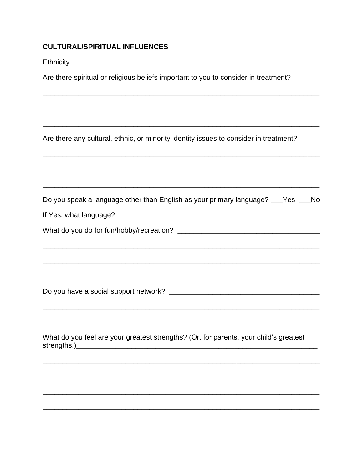### **CULTURAL/SPIRITUAL INFLUENCES**

Ethnicity **Ethnicity Exercise Ethnicity** 

Are there spiritual or religious beliefs important to you to consider in treatment?

Are there any cultural, ethnic, or minority identity issues to consider in treatment?

| Do you speak a language other than English as your primary language? ___Yes ___No |  |  |  |
|-----------------------------------------------------------------------------------|--|--|--|
|                                                                                   |  |  |  |

| If Yes, what language? |  |
|------------------------|--|
|------------------------|--|

|  |  |  |  | What do you do for fun/hobby/recreation? |
|--|--|--|--|------------------------------------------|
|--|--|--|--|------------------------------------------|

What do you feel are your greatest strengths? (Or, for parents, your child's greatest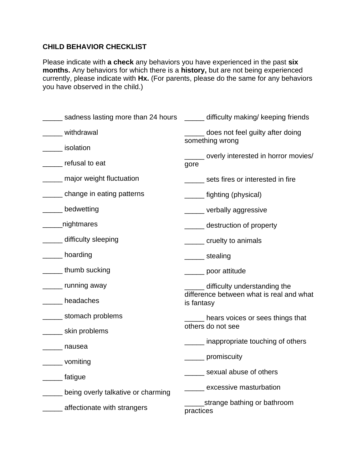## **CHILD BEHAVIOR CHECKLIST**

Please indicate with **a check** any behaviors you have experienced in the past **six months.** Any behaviors for which there is a **history,** but are not being experienced currently, please indicate with **Hx.** (For parents, please do the same for any behaviors you have observed in the child.)

| sadness lasting more than 24 hours ______ difficulty making/ keeping friends |                                                        |
|------------------------------------------------------------------------------|--------------------------------------------------------|
| withdrawal                                                                   | does not feel guilty after doing                       |
| solation                                                                     | something wrong                                        |
| refusal to eat                                                               | ______ overly interested in horror movies/<br>gore     |
| ______ major weight fluctuation                                              | ______ sets fires or interested in fire                |
| change in eating patterns                                                    | _______ fighting (physical)                            |
| _____ bedwetting                                                             | ______ verbally aggressive                             |
| ____nightmares                                                               | ______ destruction of property                         |
| _____ difficulty sleeping                                                    | ______ cruelty to animals                              |
| ____ hoarding                                                                | _______ stealing                                       |
| _____ thumb sucking                                                          | ______ poor attitude                                   |
| _____ running away                                                           | ____ difficulty understanding the                      |
| headaches                                                                    | difference between what is real and what<br>is fantasy |
| ______ stomach problems                                                      | __ hears voices or sees things that                    |
| _______ skin problems                                                        | others do not see                                      |
| nausea                                                                       | _____ inappropriate touching of others                 |
| ______ vomiting                                                              | ______ promiscuity                                     |
| ______ fatigue                                                               | _____ sexual abuse of others                           |
| ____ being overly talkative or charming                                      | excessive masturbation                                 |
| ______ affectionate with strangers                                           | __strange bathing or bathroom<br>practices             |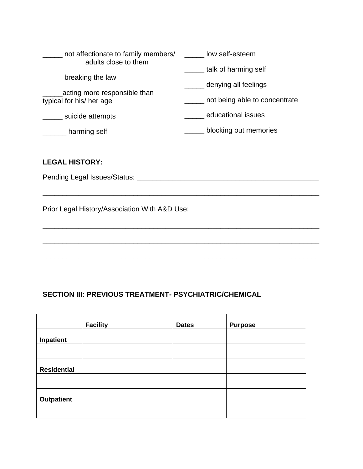| not affectionate to family members/<br>adults close to them | low self-esteem                              |  |  |
|-------------------------------------------------------------|----------------------------------------------|--|--|
| breaking the law                                            | talk of harming self<br>denying all feelings |  |  |
| acting more responsible than<br>typical for his/ her age    | not being able to concentrate                |  |  |
| suicide attempts                                            | educational issues                           |  |  |
| harming self                                                | blocking out memories                        |  |  |

### **LEGAL HISTORY:**

Pending Legal Issues/Status: **\_\_\_\_\_\_\_\_\_\_\_\_\_\_\_\_\_\_\_\_\_\_\_\_\_\_\_\_\_\_\_\_\_\_\_\_\_\_\_\_\_\_\_\_\_\_**

**\_\_\_\_\_\_\_\_\_\_\_\_\_\_\_\_\_\_\_\_\_\_\_\_\_\_\_\_\_\_\_\_\_\_\_\_\_\_\_\_\_\_\_\_\_\_\_\_\_\_\_\_\_\_\_\_\_\_\_\_\_\_\_\_\_\_\_\_\_\_**

**\_\_\_\_\_\_\_\_\_\_\_\_\_\_\_\_\_\_\_\_\_\_\_\_\_\_\_\_\_\_\_\_\_\_\_\_\_\_\_\_\_\_\_\_\_\_\_\_\_\_\_\_\_\_\_\_\_\_\_\_\_\_\_\_\_\_\_\_\_\_**

**\_\_\_\_\_\_\_\_\_\_\_\_\_\_\_\_\_\_\_\_\_\_\_\_\_\_\_\_\_\_\_\_\_\_\_\_\_\_\_\_\_\_\_\_\_\_\_\_\_\_\_\_\_\_\_\_\_\_\_\_\_\_\_\_\_\_\_\_\_\_**

**\_\_\_\_\_\_\_\_\_\_\_\_\_\_\_\_\_\_\_\_\_\_\_\_\_\_\_\_\_\_\_\_\_\_\_\_\_\_\_\_\_\_\_\_\_\_\_\_\_\_\_\_\_\_\_\_\_\_\_\_\_\_\_\_\_\_\_\_\_\_**

Prior Legal History/Association With A&D Use: **\_\_\_\_\_\_\_\_\_\_\_\_\_\_\_\_\_\_\_\_\_\_\_\_\_\_\_\_\_\_\_\_\_** 

## **SECTION III: PREVIOUS TREATMENT- PSYCHIATRIC/CHEMICAL**

|                    | <b>Facility</b> | <b>Dates</b> | <b>Purpose</b> |
|--------------------|-----------------|--------------|----------------|
| Inpatient          |                 |              |                |
|                    |                 |              |                |
| <b>Residential</b> |                 |              |                |
|                    |                 |              |                |
| <b>Outpatient</b>  |                 |              |                |
|                    |                 |              |                |

<u> 1980 - Andrea Brandon, amerikan basar personal dan berasal dalam pengaran basar personal dan berasal dan ber</u>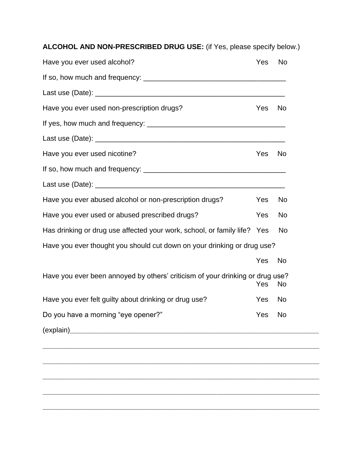**ALCOHOL AND NON-PRESCRIBED DRUG USE:** (if Yes, please specify below.)

| Have you ever used alcohol?                                                   | Yes | <b>No</b> |
|-------------------------------------------------------------------------------|-----|-----------|
|                                                                               |     |           |
|                                                                               |     |           |
| Have you ever used non-prescription drugs?                                    | Yes | No        |
|                                                                               |     |           |
|                                                                               |     |           |
| Have you ever used nicotine?                                                  | Yes | No        |
|                                                                               |     |           |
|                                                                               |     |           |
| Have you ever abused alcohol or non-prescription drugs?                       | Yes | No        |
| Have you ever used or abused prescribed drugs?                                | Yes | No        |
| Has drinking or drug use affected your work, school, or family life? Yes      |     | No        |
| Have you ever thought you should cut down on your drinking or drug use?       |     |           |
|                                                                               | Yes | No        |
| Have you ever been annoyed by others' criticism of your drinking or drug use? | Yes | No        |
| Have you ever felt guilty about drinking or drug use?                         | Yes | No        |
| Do you have a morning "eye opener?"                                           | Yes | <b>No</b> |
| (explain)                                                                     |     |           |

**\_\_\_\_\_\_\_\_\_\_\_\_\_\_\_\_\_\_\_\_\_\_\_\_\_\_\_\_\_\_\_\_\_\_\_\_\_\_\_\_\_\_\_\_\_\_\_\_\_\_\_\_\_\_\_\_\_\_\_\_\_\_\_\_\_\_\_\_\_\_**

**\_\_\_\_\_\_\_\_\_\_\_\_\_\_\_\_\_\_\_\_\_\_\_\_\_\_\_\_\_\_\_\_\_\_\_\_\_\_\_\_\_\_\_\_\_\_\_\_\_\_\_\_\_\_\_\_\_\_\_\_\_\_\_\_\_\_\_\_\_\_**

**\_\_\_\_\_\_\_\_\_\_\_\_\_\_\_\_\_\_\_\_\_\_\_\_\_\_\_\_\_\_\_\_\_\_\_\_\_\_\_\_\_\_\_\_\_\_\_\_\_\_\_\_\_\_\_\_\_\_\_\_\_\_\_\_\_\_\_\_\_\_**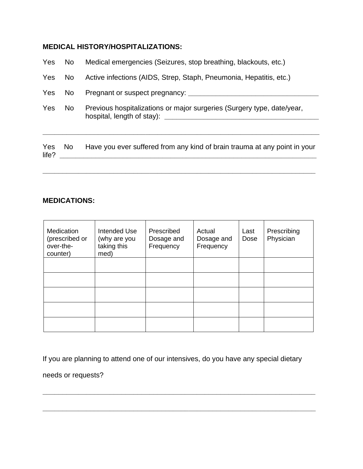# **MEDICAL HISTORY/HOSPITALIZATIONS:**

| Yes          | No  | Medical emergencies (Seizures, stop breathing, blackouts, etc.)           |  |  |  |  |  |
|--------------|-----|---------------------------------------------------------------------------|--|--|--|--|--|
| Yes          | No  | Active infections (AIDS, Strep, Staph, Pneumonia, Hepatitis, etc.)        |  |  |  |  |  |
| Yes          | No. |                                                                           |  |  |  |  |  |
| Yes          | No  | Previous hospitalizations or major surgeries (Surgery type, date/year,    |  |  |  |  |  |
| Yes<br>life? | No  | Have you ever suffered from any kind of brain trauma at any point in your |  |  |  |  |  |

**\_\_\_\_\_\_\_\_\_\_\_\_\_\_\_\_\_\_\_\_\_\_\_\_\_\_\_\_\_\_\_\_\_\_\_\_\_\_\_\_\_\_\_\_\_\_\_\_\_\_\_\_\_\_\_\_\_\_\_\_\_\_\_\_\_\_\_\_\_**

# **MEDICATIONS:**

| Medication<br>(prescribed or<br>over-the-<br>counter) | Intended Use<br>(why are you<br>taking this<br>med) | Prescribed<br>Dosage and<br>Frequency | Actual<br>Dosage and<br>Frequency | Last<br>Dose | Prescribing<br>Physician |
|-------------------------------------------------------|-----------------------------------------------------|---------------------------------------|-----------------------------------|--------------|--------------------------|
|                                                       |                                                     |                                       |                                   |              |                          |
|                                                       |                                                     |                                       |                                   |              |                          |
|                                                       |                                                     |                                       |                                   |              |                          |
|                                                       |                                                     |                                       |                                   |              |                          |
|                                                       |                                                     |                                       |                                   |              |                          |

If you are planning to attend one of our intensives, do you have any special dietary

**\_\_\_\_\_\_\_\_\_\_\_\_\_\_\_\_\_\_\_\_\_\_\_\_\_\_\_\_\_\_\_\_\_\_\_\_\_\_\_\_\_\_\_\_\_\_\_\_\_\_\_\_\_\_\_\_\_\_\_\_\_\_\_\_\_\_\_\_\_**

**\_\_\_\_\_\_\_\_\_\_\_\_\_\_\_\_\_\_\_\_\_\_\_\_\_\_\_\_\_\_\_\_\_\_\_\_\_\_\_\_\_\_\_\_\_\_\_\_\_\_\_\_\_\_\_\_\_\_\_\_\_\_\_\_\_\_\_\_\_**

needs or requests?